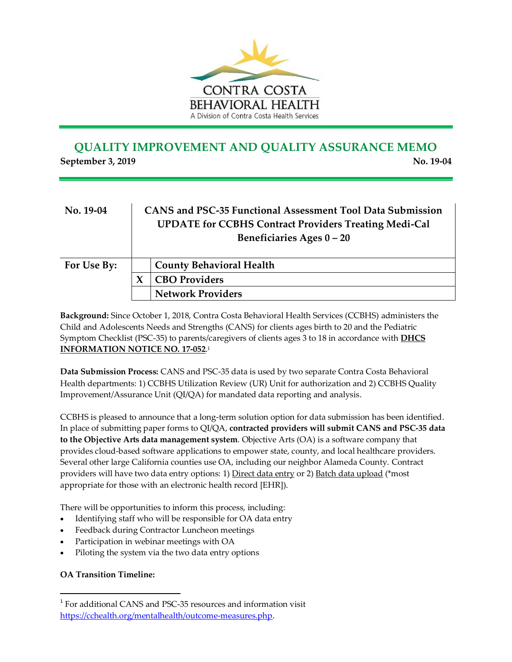

## **QUALITY IMPROVEMENT AND QUALITY ASSURANCE MEMO September 3, 2019** No. 19-04

| No. 19-04   | <b>CANS and PSC-35 Functional Assessment Tool Data Submission</b><br><b>UPDATE for CCBHS Contract Providers Treating Medi-Cal</b><br>Beneficiaries Ages 0-20 |                                 |
|-------------|--------------------------------------------------------------------------------------------------------------------------------------------------------------|---------------------------------|
| For Use By: |                                                                                                                                                              | <b>County Behavioral Health</b> |
|             |                                                                                                                                                              | <b>CBO Providers</b>            |
|             |                                                                                                                                                              | <b>Network Providers</b>        |

**Background:** Since October 1, 2018, Contra Costa Behavioral Health Services (CCBHS) administers the Child and Adolescents Needs and Strengths (CANS) for clients ages birth to 20 and the Pediatric Symptom Checklist (PSC-35) to parents/caregivers of clients ages 3 to 18 in accordance with **[DHCS](http://www.dhcs.ca.gov/services/MH/Documents/FMORB/Info_Notice_17-052_POS_Functional_Assessment_Tool.pdf)  [INFORMATION NOTICE NO. 17-052](http://www.dhcs.ca.gov/services/MH/Documents/FMORB/Info_Notice_17-052_POS_Functional_Assessment_Tool.pdf)**. 1

**Data Submission Process:** CANS and PSC-35 data is used by two separate Contra Costa Behavioral Health departments: 1) CCBHS Utilization Review (UR) Unit for authorization and 2) CCBHS Quality Improvement/Assurance Unit (QI/QA) for mandated data reporting and analysis.

CCBHS is pleased to announce that a long-term solution option for data submission has been identified. In place of submitting paper forms to QI/QA, **contracted providers will submit CANS and PSC-35 data to the Objective Arts data management system**. Objective Arts (OA) is a software company that provides cloud-based software applications to empower state, county, and local healthcare providers. Several other large California counties use OA, including our neighbor Alameda County. Contract providers will have two data entry options: 1) Direct data entry or 2) Batch data upload (\*most appropriate for those with an electronic health record [EHR]).

There will be opportunities to inform this process, including:

- Identifying staff who will be responsible for OA data entry
- Feedback during Contractor Luncheon meetings
- Participation in webinar meetings with OA
- Piloting the system via the two data entry options

## **OA Transition Timeline:**

 $\overline{a}$ 

<sup>&</sup>lt;sup>1</sup> For additional CANS and PSC-35 resources and information visit [https://cchealth.org/mentalhealth/outcome-measures.php.](https://cchealth.org/mentalhealth/outcome-measures.php)